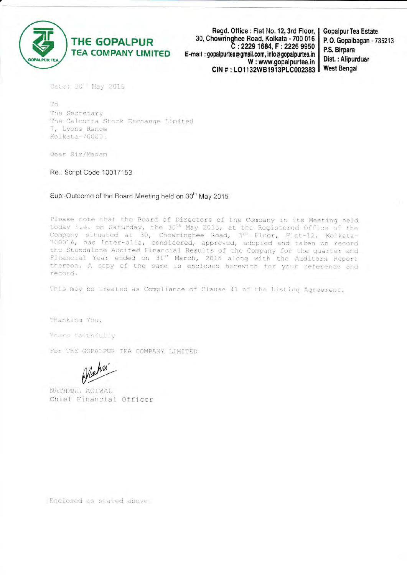

Read. Office : Flat No. 12, 3rd Floor, 30, Chowringhee Road, Kolkata - 700 016 C: 2229 1684, F: 2226 9950 E-mail: gopalpurtea@gmail.com. info@gopalpurtea.in W: www.gopalpurtea.in CIN #: LO1132WB1913PLC002383

**Gopalpur Tea Estate** P. O. Gopalbagan - 735213 P.S. Birpara Dist.: Alipurduar **West Bengal** 

Date: 30' May 2015

To The Secretary The Calcutta Stock Exchange Limited 7, Lyons Range Kolkata-700001

Dear Sir/Madam

Re.: Script Code 10017153

Sub:-Outcome of the Board Meeting held on 30<sup>th</sup> May 2015

Please note that the Board of Directors of the Company in its Meeting held today i.e. on Saturday, the 30<sup>th</sup> May 2015, at the Registered Office of the Company situated at 30, Chowringhee Road, 3<sup>23</sup> Floor, Flat-12, Kolkata-700016, has inter-alia, considered, approved, adopted and taken on record the Standalone Audited Financial Results of the Company for the quarter and Financial Year ended on 31st March, 2015 along with the Auditors Report thereon. A copy of the same is enclosed herewith for your reference and record.

This may be treated as Compliance of Clause 41 of the Listing Agreement.

Thanking You,

Yours faithfully

For THE GOPALPUR TEA COMPANY LIMITED

NATHMAL AGIWAL Chief Financial Officer

Enclosed as stated above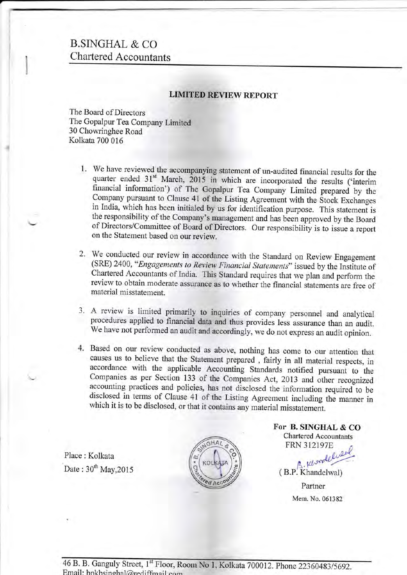# B.SINGHAL & CO. Chartered Accountants

### **LIMITED REVIEW REPORT**

The Board of Directors<br>The Gopalpur Tea Company Limited<br>30 Chowringhee Road Kolkata 700 016

- 1. We have reviewed the accompanying statement of un-audited financial results for the quarter ended  $31<sup>st</sup>$  March,  $2015$  in which are incorporated the results ('interim financial information') of The Gopalpur Tea Company Limited prepared by the Company pursuant to Clause 41 of the Listing Agreement with the Stock Exchanges in India, which has been initialed by us for identification purpose. This statement is the responsibility of the Company's management and has been approved by the Board of Directors/Committee of Board of Directors. Our responsibility is to isiue a report on the Statement based on our review.
- 2. We conducted our review in accordance with the Standard on Review Engagemen (SRE) 2400, "Engagements to Review Financial Statements" issued by the Institute of Chartered Accountants of India. This Standard requires that we plan and perform the review to obtain moderate assurance as to whether the financial statements are free of material misstatement.
- 3. A review is limited primarily to inquiries of company personnel and analytical procedures applied to financial data and thus provides less^assurance than an audit. We have not performed an audit and accordingly, we do not express an audit opinion.
- Based on our review conducted as above, nothing has come to our attention that 4. causes us to believe that the Statement prepared, fairly in all material respects, in accordance with the applicable Accounting Standards notified pursuant to the Companies as per Section 133 of the Companies Act, 2013 and other recognized accounting practices and policies, has not disclosed the information required to be disclosed in terms of Clause 41 of the Listing Agreement including the manner in which it is to be disclosed, or that it contains any material misstatement.

Place : Kolkata Date:  $30^{th}$  May, 2015



For B. SINGHAL & CO. Chartered Accountants FRN 3I2I97E

 $FRN$  312197E Partner Mem. No. 061382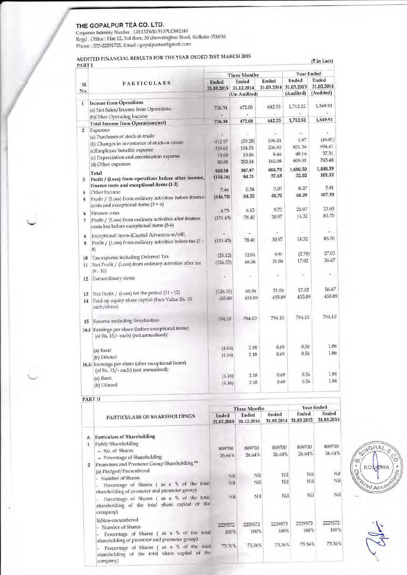#### THE GOPALPUR TEA CO. LTD.

Corporate Indentity Number : L01132WB1913PLC002383<br>Regd . Office : Flat-12, 3rd florr, 30 chowringhee Road, Kolkata -700016 Phone : 033-22291725, Email : gopalpurtea@gmail.com

### AUDITED FINANCIAL RESULTS FOR THE YEAR ENDED 31ST MARCH <sup>2015</sup>

 $(3 \infty)$ 

|                |                                                                                                    | <b>Three Months</b>   |              |            | Year Ended |            |  |
|----------------|----------------------------------------------------------------------------------------------------|-----------------------|--------------|------------|------------|------------|--|
| Sl.            | PARTICULARS                                                                                        | <b>Ended</b>          | Ended        | Ended      | Ended      | Ended      |  |
| No.            |                                                                                                    | 31.03.2015 31.12.2014 |              | 31.03.2014 | 31.03.2015 | 31.03.2014 |  |
|                |                                                                                                    |                       | (Un Audited) |            | (Audited)  | (Audited)  |  |
| 1              | <b>Income from Operations</b>                                                                      |                       |              |            |            |            |  |
|                | (a) Net Sales/Income from Operations                                                               | 726.34                | 472.08       | 642.33     | 1,712.52   | 1,549.91   |  |
|                | (b)Other Operating Income                                                                          |                       |              |            |            |            |  |
|                | <b>Total Income from Operations(net)</b>                                                           | 726.34                | 472.08       | 642.33     | 1,712.52   | 1,549.91   |  |
| $\overline{2}$ | Expenses                                                                                           |                       |              |            |            |            |  |
|                | (a) Purchases of stock-in-trade                                                                    |                       |              |            |            | (46.81)    |  |
|                | (b) Changes in inventories of stock-in-trade                                                       | 412.97                | (59.28)      | 196.24     | 1.97       | 694.41     |  |
|                | (c)Employee benefits expense                                                                       | 359.65                | 154.55       | 236.92     | 821.36     | 37.31      |  |
|                | (c) Depreciation and amortisation expense                                                          | 19.00                 | 10.06        | 9.46       | 48.16      | 763.48     |  |
|                | (d) Other expenses                                                                                 | 88.88                 | 282.54       | 162.08     | 809.01     |            |  |
|                | Total                                                                                              | 880.50                | 387.87       | 604.70     | 1,680.50   | 1,448.39   |  |
| 3              | Profit / (Loss) from operations before other income,                                               | (154.16)              | 84.21        | 37.63      | 32.02      | 101.52     |  |
|                | finance costs and exceptional items (1-2)                                                          |                       |              |            |            | 5.81       |  |
| 4              | Other Income                                                                                       | 7.46                  | 0.34         | 3.07       | 8.27       |            |  |
| 5              | Profit / (Loss) from ordinary activities before finance                                            | (146.70)              | 84.55        | 40.70      | 40.29      | 107.33     |  |
|                | costs and exceptional items $(3 + 4)$                                                              | 4.75                  | 6.15         | 9.73       | 25.97      | 23.63      |  |
| 6              | Finance costs                                                                                      | (151.45)              | 78.40        | 30.97      | 14.32      | 83.70      |  |
| 7              | Profit / (Loss) from ordinary activities after finance<br>costs but before exceptional items (5-6) |                       |              |            |            |            |  |
| 8              | Exceptional items (Capital Advances w/off)                                                         |                       |              | ٠          |            |            |  |
| 9              | Profit / (Loss) from ordinary activities before tax (7 -<br>8)                                     | (151.45)              | 78.40        | 30.97      | 14.32      | 83.70      |  |
|                | Tax expense including Deferred Tax                                                                 | (25.12)               | 12.04        | 9.91       | (2.70)     | 27.03      |  |
| 10             | Net Profit / (Loss) from ordinary activities after tax                                             | (126.33)              | 66.36        | 21.06      | 17.02      | 56.67      |  |
| 11             | $(9 - 10)$                                                                                         |                       |              |            |            |            |  |
| 12             | Extraordinary items                                                                                |                       | ×            |            |            |            |  |
|                |                                                                                                    |                       |              |            |            |            |  |
|                |                                                                                                    | (126.33)              | 66.36        | 21.06      | 17.02      | 56.67      |  |
| 13             | Net Profit / (Loss) for the period (11 - 12)<br>Paid-up equity share capital (Face Value Rs. 10    | 455.89                | 455.89       | 455.89     | 455.89     | 455.89     |  |
| 14             | each/share)                                                                                        |                       |              |            |            |            |  |
| 15             | Reserve excluding Revaluation                                                                      | 794.10                | 794.10       | 794.10     | 794.10     | 794.10     |  |
|                | 16.i Earnings per share (before exceptional items)<br>(of Rs. 15/-each) (not annualised):          |                       |              |            |            |            |  |
|                | (a) Basic                                                                                          | (4.16)                | 2.18         | 0.69       | 0.56       | 1.86       |  |
|                | (b) Diluted                                                                                        | (4.16)                | 2.18         | 0.69       | 0.56       | 1.86       |  |
|                | 16.ii Earnings per share (after exceptional items)<br>(of Rs. 15/-each) (not annualised):          |                       |              |            |            |            |  |
|                | (a) Basic                                                                                          | (4.16)                | 2.18         | 0.69       | 0.56       | 1.86       |  |
|                |                                                                                                    |                       | 2.18         | 0.69       | 0.56       | 1.86       |  |

## PART II

|                |                                                                                                                                                         | <b>Three Months</b> |                     | <b>Year Ended</b>   |                     |                     |
|----------------|---------------------------------------------------------------------------------------------------------------------------------------------------------|---------------------|---------------------|---------------------|---------------------|---------------------|
|                | PARTICULARS OF SHAREHOLDINGS                                                                                                                            | Ended<br>31.03.2015 | Ended<br>31.12.2014 | Ended<br>31.03.2014 | Ended<br>31.03.2015 | Ended<br>31.03.2014 |
| А<br>1         | <b>Particulars of Shareholding</b><br><b>Public Shareholding</b>                                                                                        |                     |                     |                     |                     |                     |
|                | - No. of Shares<br>- Percentage of Shareholding                                                                                                         | 809700<br>26.64%    | 809700<br>26.64%    | 809700<br>26.64%    | 809700<br>26.64%    | 809700<br>26.64%    |
| $\overline{2}$ | Promoters and Promoter Group Shareholding **<br>(a) Pledged/Encumbered                                                                                  |                     |                     |                     |                     | Nil                 |
|                | Number of Shares                                                                                                                                        | Nil                 | Nil                 | Nil                 | Nil                 |                     |
|                | Percentage of Shares (as a % of the total<br>shareholding of promoter and promoter group)                                                               | Nil                 | Nil                 | Nil                 | Nil                 | Nil                 |
|                | Percentage of Shares (as a % of the total<br>shareholding of the total share capital of the<br>company)                                                 | Nil                 | Nil                 | Nil                 | Nil                 | Nil                 |
|                | b)Non-encumbered                                                                                                                                        | 2229572             | 2229572             | 2229572             | 2229572             | 2229572             |
|                | Number of Shares                                                                                                                                        |                     | 100%                | 100%                | 100%                | 100%                |
|                | Percentage of Shares (as a % of the total                                                                                                               | 100%                |                     |                     |                     |                     |
|                | shareholding of promoter and promoter group)<br>Percentage of Shares (as a % of the total<br>shareholding of the total share capital of the<br>company) | 73.36%              | 73.36%              | 73.36%              | 73.36%              | 73.36%              |